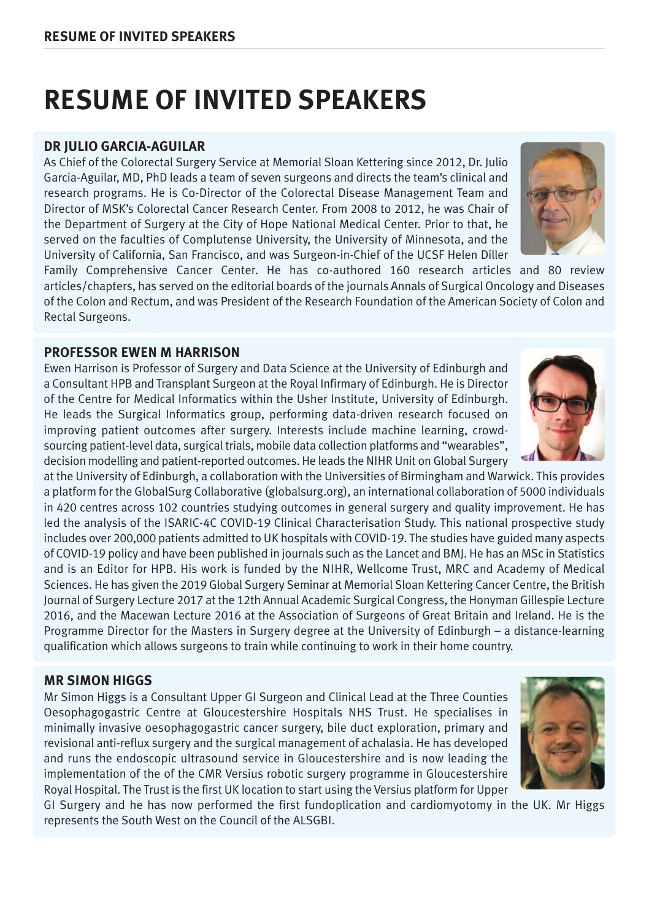#### **DR JULIO GARCIA-AGUILAR**

As Chief of the Colorectal Surgery Service at Memorial Sloan Kettering since 2012, Dr. Julio Garcia-Aguilar, MD, PhD leads a team of seven surgeons and directs the team's clinical and research programs. He is Co-Director of the Colorectal Disease Management Team and Director of MSK's Colorectal Cancer Research Center. From 2008 to 2012, he was Chair of the Department of Surgery at the City of Hope National Medical Center. Prior to that, he served on the faculties of Complutense University, the University of Minnesota, and the University of California, San Francisco, and was Surgeon-in-Chief of the UCSF Helen Diller

Family Comprehensive Cancer Center. He has co-authored 160 research articles and 80 review articles/chapters, has served on the editorial boards of the journals Annals of Surgical Oncology and Diseases of the Colon and Rectum, and was President of the Research Foundation of the American Society of Colon and Rectal Surgeons.

#### **PROFESSOR EWEN M HARRISON**

Ewen Harrison is Professor of Surgery and Data Science at the University of Edinburgh and a Consultant HPB and Transplant Surgeon at the Royal Infirmary of Edinburgh. He is Director of the Centre for Medical Informatics within the Usher Institute, University of Edinburgh. He leads the Surgical Informatics group, performing data-driven research focused on improving patient outcomes after surgery. Interests include machine learning, crowdsourcing patient-level data, surgical trials, mobile data collection platforms and "wearables", decision modelling and patient-reported outcomes. He leads the NIHR Unit on Global Surgery

at the University of Edinburgh, a collaboration with the Universities of Birmingham and Warwick. This provides a platform for the GlobalSurg Collaborative (globalsurg.org), an international collaboration of 5000 individuals in 420 centres across 102 countries studying outcomes in general surgery and quality improvement. He has led the analysis of the ISARIC-4C COVID-19 Clinical Characterisation Study. This national prospective study includes over 200,000 patients admitted to UK hospitals with COVID-19. The studies have guided many aspects of COVID-19 policy and have been published in journals such as the Lancet and BMJ. He has an MSc in Statistics and is an Editor for HPB. His work is funded by the NIHR, Wellcome Trust, MRC and Academy of Medical Sciences. He has given the 2019 Global Surgery Seminar at Memorial Sloan Kettering Cancer Centre, the British Journal of Surgery Lecture 2017 at the 12th Annual Academic Surgical Congress, the Honyman Gillespie Lecture 2016, and the Macewan Lecture 2016 at the Association of Surgeons of Great Britain and Ireland. He is the Programme Director for the Masters in Surgery degree at the University of Edinburgh – a distance-learning qualification which allows surgeons to train while continuing to work in their home country.

#### **MR SIMON HIGGS**

Mr Simon Higgs is a Consultant Upper GI Surgeon and Clinical Lead at the Three Counties Oesophagogastric Centre at Gloucestershire Hospitals NHS Trust. He specialises in minimally invasive oesophagogastric cancer surgery, bile duct exploration, primary and revisional anti-reflux surgery and the surgical management of achalasia. He has developed and runs the endoscopic ultrasound service in Gloucestershire and is now leading the implementation of the of the CMR Versius robotic surgery programme in Gloucestershire Royal Hospital. The Trust is the first UK location to start using the Versius platform for Upper

GI Surgery and he has now performed the first fundoplication and cardiomyotomy in the UK. Mr Higgs represents the South West on the Council of the ALSGBI.







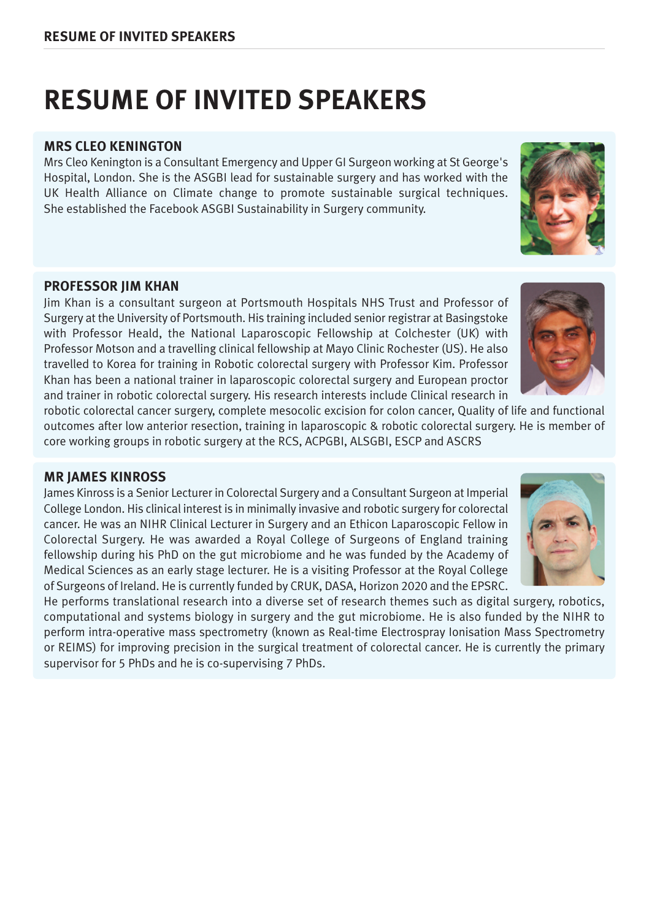#### **MRS CLEO KENINGTON**

Mrs Cleo Kenington is a Consultant Emergency and Upper GI Surgeon working at St George's Hospital, London. She is the ASGBI lead for sustainable surgery and has worked with the UK Health Alliance on Climate change to promote sustainable surgical techniques. She established the Facebook ASGBI Sustainability in Surgery community.

#### **PROFESSOR JIM KHAN**

Jim Khan is a consultant surgeon at Portsmouth Hospitals NHS Trust and Professor of Surgery at the University of Portsmouth. His training included senior registrar at Basingstoke with Professor Heald, the National Laparoscopic Fellowship at Colchester (UK) with Professor Motson and a travelling clinical fellowship at Mayo Clinic Rochester (US). He also travelled to Korea for training in Robotic colorectal surgery with Professor Kim. Professor Khan has been a national trainer in laparoscopic colorectal surgery and European proctor and trainer in robotic colorectal surgery. His research interests include Clinical research in

robotic colorectal cancer surgery, complete mesocolic excision for colon cancer, Quality of life and functional outcomes after low anterior resection, training in laparoscopic & robotic colorectal surgery. He is member of core working groups in robotic surgery at the RCS, ACPGBI, ALSGBI, ESCP and ASCRS

### **MR JAMES KINROSS**

James Kinross is a Senior Lecturer in Colorectal Surgery and a Consultant Surgeon at Imperial College London. His clinical interest is in minimally invasive and robotic surgery for colorectal cancer. He was an NIHR Clinical Lecturer in Surgery and an Ethicon Laparoscopic Fellow in Colorectal Surgery. He was awarded a Royal College of Surgeons of England training fellowship during his PhD on the gut microbiome and he was funded by the Academy of Medical Sciences as an early stage lecturer. He is a visiting Professor at the Royal College of Surgeons of Ireland. He is currently funded by CRUK, DASA, Horizon 2020 and the EPSRC.

He performs translational research into a diverse set of research themes such as digital surgery, robotics, computational and systems biology in surgery and the gut microbiome. He is also funded by the NIHR to perform intra-operative mass spectrometry (known as Real-time Electrospray Ionisation Mass Spectrometry or REIMS) for improving precision in the surgical treatment of colorectal cancer. He is currently the primary supervisor for 5 PhDs and he is co-supervising 7 PhDs.





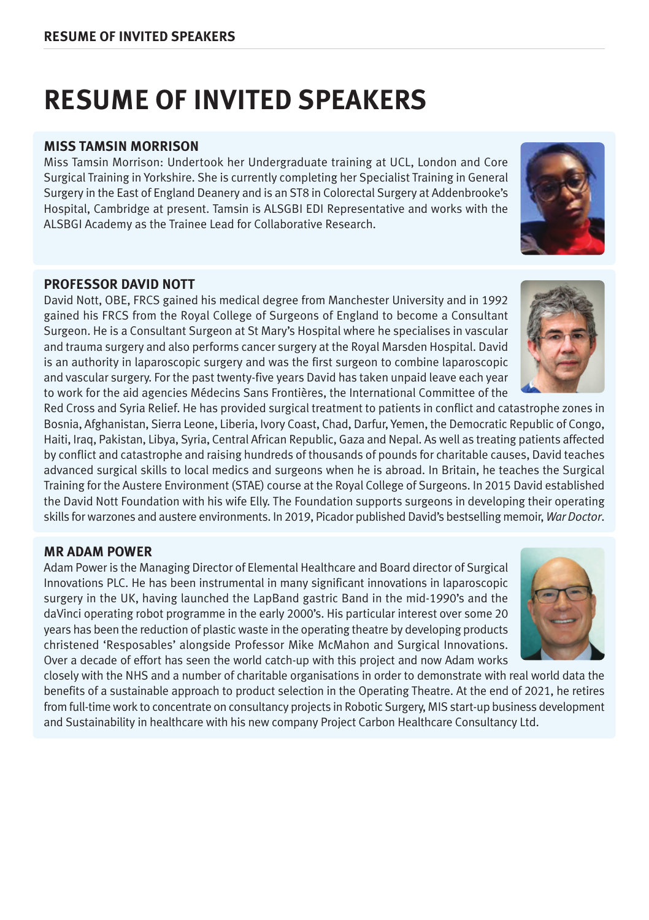### **MISS TAMSIN MORRISON**

Miss Tamsin Morrison: Undertook her Undergraduate training at UCL, London and Core Surgical Training in Yorkshire. She is currently completing her Specialist Training in General Surgery in the East of England Deanery and is an ST8 in Colorectal Surgery at Addenbrooke's Hospital, Cambridge at present. Tamsin is ALSGBI EDI Representative and works with the ALSBGI Academy as the Trainee Lead for Collaborative Research.

#### **PROFESSOR DAVID NOTT**

David Nott, OBE, FRCS gained his medical degree from Manchester University and in 1992 gained his FRCS from the Royal College of Surgeons of England to become a Consultant Surgeon. He is a Consultant Surgeon at St Mary's Hospital where he specialises in vascular and trauma surgery and also performs cancer surgery at the Royal Marsden Hospital. David is an authority in laparoscopic surgery and was the first surgeon to combine laparoscopic and vascular surgery. For the past twenty-five years David has taken unpaid leave each year to work for the aid agencies Médecins Sans Frontières, the International Committee of the

Red Cross and Syria Relief. He has provided surgical treatment to patients in conflict and catastrophe zones in Bosnia, Afghanistan, Sierra Leone, Liberia, Ivory Coast, Chad, Darfur, Yemen, the Democratic Republic of Congo, Haiti, Iraq, Pakistan, Libya, Syria, Central African Republic, Gaza and Nepal. As well as treating patients affected by conflict and catastrophe and raising hundreds of thousands of pounds for charitable causes, David teaches advanced surgical skills to local medics and surgeons when he is abroad. In Britain, he teaches the Surgical Training for the Austere Environment (STAE) course at the Royal College of Surgeons. In 2015 David established the David Nott Foundation with his wife Elly. The Foundation supports surgeons in developing their operating skills forwarzones and austere environments. In 2019, Picador published David's bestselling memoir, *War Doctor*.

### **MR ADAM POWER**

Adam Power is the Managing Director of Elemental Healthcare and Board director of Surgical Innovations PLC. He has been instrumental in many significant innovations in laparoscopic surgery in the UK, having launched the LapBand gastric Band in the mid-1990's and the daVinci operating robot programme in the early 2000's. His particular interest over some 20 years has been the reduction of plastic waste in the operating theatre by developing products christened 'Resposables' alongside Professor Mike McMahon and Surgical Innovations. Over a decade of effort has seen the world catch-up with this project and now Adam works

closely with the NHS and a number of charitable organisations in order to demonstrate with real world data the benefits of a sustainable approach to product selection in the Operating Theatre. At the end of 2021, he retires from full-timework to concentrate on consultancy projects in Robotic Surgery, MIS start-up business development and Sustainability in healthcare with his new company Project Carbon Healthcare Consultancy Ltd.





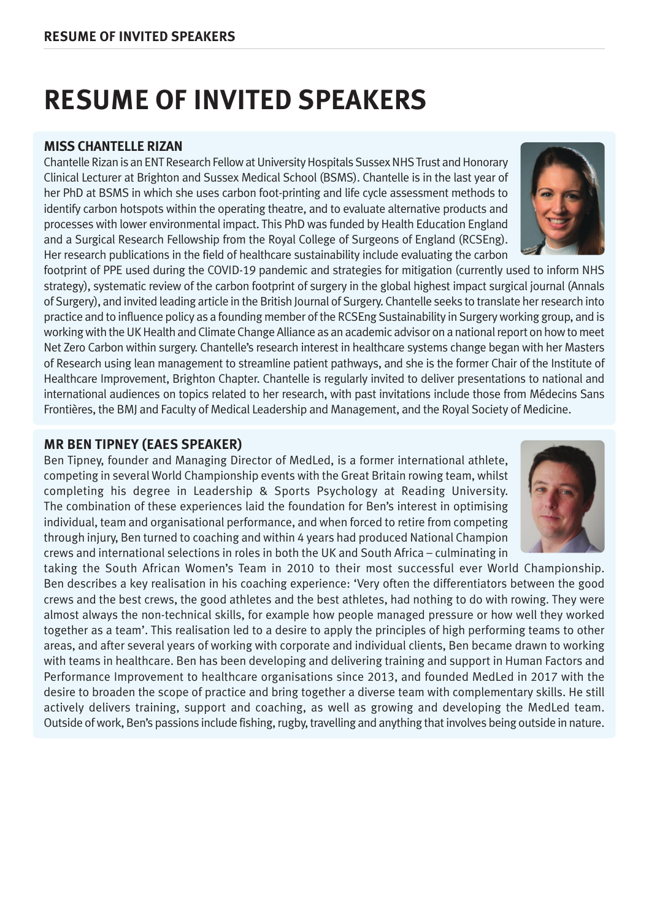#### **MISS CHANTELLE RIZAN**

Chantelle Rizan is an ENT Research Fellow at University Hospitals Sussex NHS Trust and Honorary Clinical Lecturer at Brighton and Sussex Medical School (BSMS). Chantelle is in the last year of her PhD at BSMS in which she uses carbon foot-printing and life cycle assessment methods to identify carbon hotspots within the operating theatre, and to evaluate alternative products and processes with lower environmental impact. This PhD was funded by Health Education England and a Surgical Research Fellowship from the Royal College of Surgeons of England (RCSEng). Her research publications in the field of healthcare sustainability include evaluating the carbon

footprint of PPE used during the COVID-19 pandemic and strategies for mitigation (currently used to inform NHS strategy), systematic review of the carbon footprint of surgery in the global highest impact surgical journal (Annals of Surgery), and invited leading article in the British Journal of Surgery. Chantelle seeks to translate herresearch into practice and to influence policy as a founding member of the RCSEng Sustainability in Surgery working group, and is working with the UK Health and Climate Change Alliance as an academic advisor on a national report on how to meet Net Zero Carbon within surgery. Chantelle's research interest in healthcare systems change began with her Masters of Research using lean management to streamline patient pathways, and she is the former Chair of the Institute of Healthcare Improvement, Brighton Chapter. Chantelle is regularly invited to deliver presentations to national and international audiences on topics related to her research, with past invitations include those from Médecins Sans Frontières, the BMJ and Faculty of Medical Leadership and Management, and the Royal Society of Medicine.

#### **MR BEN TIPNEY (EAES SPEAKER)**

Ben Tipney, founder and Managing Director of MedLed, is a former international athlete, competing in several World Championship events with the Great Britain rowing team, whilst completing his degree in Leadership & Sports Psychology at Reading University. The combination of these experiences laid the foundation for Ben's interest in optimising individual, team and organisational performance, and when forced to retire from competing through injury, Ben turned to coaching and within 4 years had produced National Champion crews and international selections in roles in both the UK and South Africa – culminating in

taking the South African Women's Team in 2010 to their most successful ever World Championship. Ben describes a key realisation in his coaching experience: 'Very often the differentiators between the good crews and the best crews, the good athletes and the best athletes, had nothing to do with rowing. They were almost always the non-technical skills, for example how people managed pressure or how well they worked together as a team'. This realisation led to a desire to apply the principles of high performing teams to other areas, and after several years of working with corporate and individual clients, Ben became drawn to working with teams in healthcare. Ben has been developing and delivering training and support in Human Factors and Performance Improvement to healthcare organisations since 2013, and founded MedLed in 2017 with the desire to broaden the scope of practice and bring together a diverse team with complementary skills. He still actively delivers training, support and coaching, as well as growing and developing the MedLed team. Outside of work, Ben's passions include fishing, rugby, travelling and anything that involves being outside in nature.